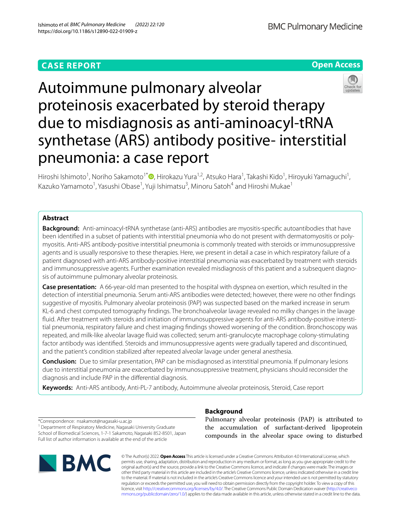# **CASE REPORT**

**Open Access**



# Autoimmune pulmonary alveolar proteinosis exacerbated by steroid therapy due to misdiagnosis as anti-aminoacyl-tRNA synthetase (ARS) antibody positive- interstitial pneumonia: a case report

Hiroshi Ishimoto<sup>1</sup>[,](http://orcid.org/0000-0002-7577-476X) Noriho Sakamoto<sup>1\*</sup>®, Hirokazu Yura<sup>1,2</sup>, Atsuko Hara<sup>1</sup>, Takashi Kido<sup>1</sup>, Hiroyuki Yamaguchi<sup>1</sup>, Kazuko Yamamoto<sup>1</sup>, Yasushi Obase<sup>1</sup>, Yuji Ishimatsu<sup>3</sup>, Minoru Satoh<sup>4</sup> and Hiroshi Mukae<sup>1</sup>

# **Abstract**

**Background:** Anti-aminoacyl-tRNA synthetase (anti-ARS) antibodies are myositis-specifc autoantibodies that have been identifed in a subset of patients with interstitial pneumonia who do not present with dermatomyositis or polymyositis. Anti-ARS antibody-positive interstitial pneumonia is commonly treated with steroids or immunosuppressive agents and is usually responsive to these therapies. Here, we present in detail a case in which respiratory failure of a patient diagnosed with anti-ARS antibody-positive interstitial pneumonia was exacerbated by treatment with steroids and immunosuppressive agents. Further examination revealed misdiagnosis of this patient and a subsequent diagnosis of autoimmune pulmonary alveolar proteinosis.

**Case presentation:** A 66-year-old man presented to the hospital with dyspnea on exertion, which resulted in the detection of interstitial pneumonia. Serum anti-ARS antibodies were detected; however, there were no other fndings suggestive of myositis. Pulmonary alveolar proteinosis (PAP) was suspected based on the marked increase in serum KL-6 and chest computed tomography fndings. The bronchoalveolar lavage revealed no milky changes in the lavage fluid. After treatment with steroids and initiation of immunosuppressive agents for anti-ARS antibody-positive interstitial pneumonia, respiratory failure and chest imaging fndings showed worsening of the condition. Bronchoscopy was repeated, and milk-like alveolar lavage fuid was collected; serum anti-granulocyte macrophage colony-stimulating factor antibody was identifed. Steroids and immunosuppressive agents were gradually tapered and discontinued, and the patient's condition stabilized after repeated alveolar lavage under general anesthesia.

**Conclusion:** Due to similar presentation, PAP can be misdiagnosed as interstitial pneumonia. If pulmonary lesions due to interstitial pneumonia are exacerbated by immunosuppressive treatment, physicians should reconsider the diagnosis and include PAP in the diferential diagnosis.

**Keywords:** Anti-ARS antibody, Anti-PL-7 antibody, Autoimmune alveolar proteinosis, Steroid, Case report

\*Correspondence: nsakamot@nagasaki-u.ac.jp

<sup>1</sup> Department of Respiratory Medicine, Nagasaki University Graduate School of Biomedical Sciences, 1-7-1 Sakamoto, Nagasaki 852-8501, Japan Full list of author information is available at the end of the article



# **Background**

Pulmonary alveolar proteinosis (PAP) is attributed to the accumulation of surfactant-derived lipoprotein compounds in the alveolar space owing to disturbed

© The Author(s) 2022. **Open Access** This article is licensed under a Creative Commons Attribution 4.0 International License, which permits use, sharing, adaptation, distribution and reproduction in any medium or format, as long as you give appropriate credit to the original author(s) and the source, provide a link to the Creative Commons licence, and indicate if changes were made. The images or other third party material in this article are included in the article's Creative Commons licence, unless indicated otherwise in a credit line to the material. If material is not included in the article's Creative Commons licence and your intended use is not permitted by statutory regulation or exceeds the permitted use, you will need to obtain permission directly from the copyright holder. To view a copy of this licence, visit [http://creativecommons.org/licenses/by/4.0/.](http://creativecommons.org/licenses/by/4.0/) The Creative Commons Public Domain Dedication waiver ([http://creativeco](http://creativecommons.org/publicdomain/zero/1.0/) [mmons.org/publicdomain/zero/1.0/](http://creativecommons.org/publicdomain/zero/1.0/)) applies to the data made available in this article, unless otherwise stated in a credit line to the data.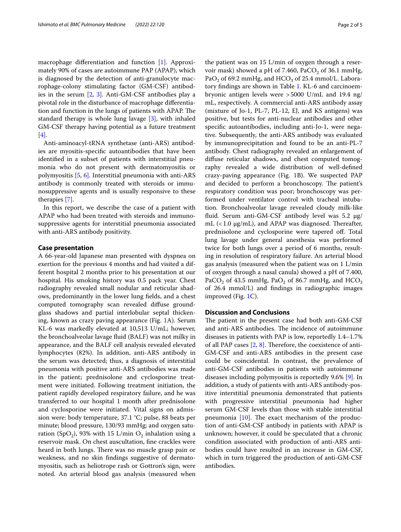macrophage diferentiation and function [\[1](#page-3-0)]. Approximately 90% of cases are autoimmune PAP (APAP), which is diagnosed by the detection of anti-granulocyte macrophage-colony stimulating factor (GM-CSF) antibodies in the serum [\[2](#page-3-1), [3](#page-3-2)]. Anti-GM-CSF antibodies play a pivotal role in the disturbance of macrophage diferentiation and function in the lungs of patients with APAP. The standard therapy is whole lung lavage [[3\]](#page-3-2), with inhaled GM-CSF therapy having potential as a future treatment [[4\]](#page-3-3).

Anti-aminoacyl-tRNA synthetase (anti-ARS) antibodies are myositis-specifc autoantibodies that have been identifed in a subset of patients with interstitial pneumonia who do not present with dermatomyositis or polymyositis [\[5](#page-3-4), [6](#page-3-5)]. Interstitial pneumonia with anti-ARS antibody is commonly treated with steroids or immunosuppressive agents and is usually responsive to these therapies [[7](#page-3-6)].

In this report, we describe the case of a patient with APAP who had been treated with steroids and immunosuppressive agents for interstitial pneumonia associated with anti-ARS antibody positivity.

## **Case presentation**

A 66-year-old Japanese man presented with dyspnea on exertion for the previous 4 months and had visited a different hospital 2 months prior to his presentation at our hospital. His smoking history was 0.5 pack year. Chest radiography revealed small nodular and reticular shadows, predominantly in the lower lung felds, and a chest computed tomography scan revealed difuse groundglass shadows and partial interlobular septal thickening, known as crazy paving appearance (Fig. [1](#page-2-0)A). Serum KL-6 was markedly elevated at 10,513 U/mL; however, the bronchoalveolar lavage fuid (BALF) was not milky in appearance, and the BALF cell analysis revealed elevated lymphocytes (82%). In addition, anti-ARS antibody in the serum was detected; thus, a diagnosis of interstitial pneumonia with positive anti-ARS antibodies was made in the patient; prednisolone and cyclosporine treatment were initiated. Following treatment initiation, the patient rapidly developed respiratory failure, and he was transferred to our hospital 1 month after prednisolone and cyclosporine were initiated. Vital signs on admission were: body temperature, 37.1 °C; pulse, 88 beats per minute; blood pressure, 130/93 mmHg; and oxygen saturation (SpO<sub>2</sub>), 93% with 15 L/min O<sub>2</sub> inhalation using a reservoir mask. On chest auscultation, fne crackles were heard in both lungs. There was no muscle grasp pain or weakness, and no skin fndings suggestive of dermatomyositis, such as heliotrope rash or Gottron's sign, were noted. An arterial blood gas analysis (measured when the patient was on 15 L/min of oxygen through a reservoir mask) showed a pH of 7.460, PaCO<sub>2</sub> of 36.1 mmHg, PaO<sub>2</sub> of 69.2 mmHg, and HCO<sub>3</sub> of 25.4 mmol/L. Laboratory fndings are shown in Table [1](#page-3-7). KL-6 and carcinoembryonic antigen levels were >5000 U/mL and 19.4 ng/ mL, respectively. A commercial anti-ARS antibody assay (mixture of Jo-1, PL-7, PL-12, EJ, and KS antigens) was positive, but tests for anti-nuclear antibodies and other specifc autoantibodies, including anti-Jo-1, were negative. Subsequently, the anti-ARS antibody was evaluated by immunoprecipitation and found to be an anti-PL-7 antibody. Chest radiography revealed an enlargement of difuse reticular shadows, and chest computed tomography revealed a wide distribution of well-defned crazy-paving appearance (Fig. [1](#page-2-0)B). We suspected PAP and decided to perform a bronchoscopy. The patient's respiratory condition was poor; bronchoscopy was performed under ventilator control with tracheal intubation. Bronchoalveolar lavage revealed cloudy milk-like fluid. Serum anti-GM-CSF antibody level was  $5.2 \mu g$ / mL  $(< 1.0 \text{ µg/mL})$ , and APAP was diagnosed. Thereafter, prednisolone and cyclosporine were tapered of. Total lung lavage under general anesthesia was performed twice for both lungs over a period of 6 months, resulting in resolution of respiratory failure. An arterial blood gas analysis (measured when the patient was on 1 L/min of oxygen through a nasal canula) showed a pH of 7.400, PaCO<sub>2</sub> of 43.5 mmHg, PaO<sub>2</sub> of 86.7 mmHg, and HCO<sub>3</sub> of 26.4 mmol/L) and fndings in radiographic images improved (Fig. [1C](#page-2-0)).

# **Discussion and Conclusions**

The patient in the present case had both anti-GM-CSF and anti-ARS antibodies. The incidence of autoimmune diseases in patients with PAP is low, reportedly 1.4–1.7% of all PAP cases  $[2, 8]$  $[2, 8]$  $[2, 8]$  $[2, 8]$ . Therefore, the coexistence of anti-GM-CSF and anti-ARS antibodies in the present case could be coincidental. In contrast, the prevalence of anti-GM-CSF antibodies in patients with autoimmune diseases including polymyositis is reportedly 9.6% [[9\]](#page-3-9). In addition, a study of patients with anti-ARS antibody-positive interstitial pneumonia demonstrated that patients with progressive interstitial pneumonia had higher serum GM-CSF levels than those with stable interstitial pneumonia  $[10]$  $[10]$ . The exact mechanism of the production of anti-GM-CSF antibody in patients with APAP is unknown; however, it could be speculated that a chronic condition associated with production of anti-ARS antibodies could have resulted in an increase in GM-CSF, which in turn triggered the production of anti-GM-CSF antibodies.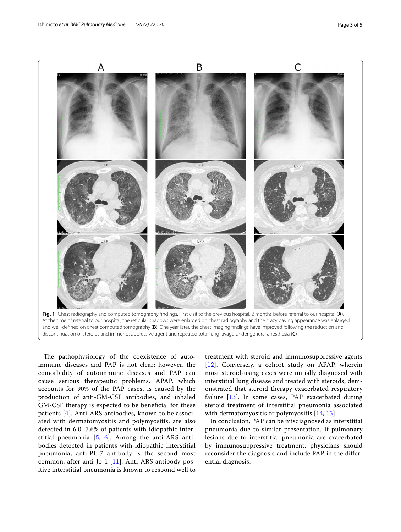

<span id="page-2-0"></span>**Fig. 1** Chest radiography and computed tomography fndings. First visit to the previous hospital, 2 months before referral to our hospital (**A**). At the time of referral to our hospital, the reticular shadows were enlarged on chest radiography and the crazy paving appearance was enlarged and well-defned on chest computed tomography (**B**). One year later, the chest imaging fndings have improved following the reduction and discontinuation of steroids and immunosuppressive agent and repeated total lung lavage under general anesthesia (**C**)

The pathophysiology of the coexistence of autoimmune diseases and PAP is not clear; however, the comorbidity of autoimmune diseases and PAP can cause serious therapeutic problems. APAP, which accounts for 90% of the PAP cases, is caused by the production of anti-GM-CSF antibodies, and inhaled GM-CSF therapy is expected to be benefcial for these patients [[4\]](#page-3-3). Anti-ARS antibodies, known to be associated with dermatomyositis and polymyositis, are also detected in 6.0–7.6% of patients with idiopathic interstitial pneumonia [\[5](#page-3-4), [6](#page-3-5)]. Among the anti-ARS antibodies detected in patients with idiopathic interstitial pneumonia, anti-PL-7 antibody is the second most common, after anti-Jo-1 [[11](#page-3-11)]. Anti-ARS antibody-positive interstitial pneumonia is known to respond well to

treatment with steroid and immunosuppressive agents [[12](#page-3-12)]. Conversely, a cohort study on APAP, wherein most steroid-using cases were initially diagnosed with interstitial lung disease and treated with steroids, demonstrated that steroid therapy exacerbated respiratory failure [\[13](#page-4-0)]. In some cases, PAP exacerbated during steroid treatment of interstitial pneumonia associated with dermatomyositis or polymyositis [[14,](#page-4-1) [15\]](#page-4-2).

In conclusion, PAP can be misdiagnosed as interstitial pneumonia due to similar presentation. If pulmonary lesions due to interstitial pneumonia are exacerbated by immunosuppressive treatment, physicians should reconsider the diagnosis and include PAP in the diferential diagnosis.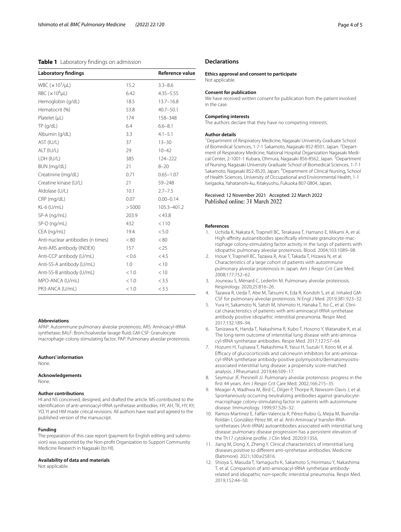# <span id="page-3-7"></span>**Table 1** Laboratory findings on admission

| <b>Laboratory findings</b>        |        | Reference value |
|-----------------------------------|--------|-----------------|
| WBC $(x10^3/\mu L)$               | 15.2   | $3.3 - 8.6$     |
| RBC $(x 106 \mu L)$               | 6.42   | $4.35 - 5.55$   |
| Hemoglobin (g/dL)                 | 18.5   | $13.7 - 16.8$   |
| Hematocrit (%)                    | 53.8   | $40.7 - 50.1$   |
| Platelet (µL)                     | 174    | 158-348         |
| TP (q/dL)                         | 6.4    | $6.6 - 8.1$     |
| Albumin (g/dL)                    | 3.3    | $4.1 - 5.1$     |
| AST (IU/L)                        | 37     | $13 - 30$       |
| ALT (IU/L)                        | 29     | $10 - 42$       |
| LDH (IU/L)                        | 385    | 124-222         |
| BUN (mg/dL)                       | 21     | $8 - 20$        |
| Creatinine (mg/dL)                | 0.71   | $0.65 - 1.07$   |
| Creatine kinase (U/L)             | 21     | 59-248          |
| Aldolase (U/L)                    | 10.1   | $2.7 - 7.5$     |
| CRP (mg/dL)                       | 0.07   | $0.00 - 0.14$   |
| KL-6 (U/mL)                       | > 5000 | 105.3-401.2     |
| SP-A (ng/mL)                      | 203.9  | $<$ 43.8        |
| SP-D (ng/mL)                      | 432    | < 110           |
| CEA (ng/mL)                       | 19.4   | < 5.0           |
| Anti-nuclear antibodies (n times) | < 80   | < 80            |
| Anti-ARS antibody (INDEX)         | 157    | < 25            |
| Anti-CCP antibody (U/mL)          | < 0.6  | < 4.5           |
| Anti-SS-A antibody (U/mL)         | 1.0    | < 10            |
| Anti-SS-B antibody (U/mL)         | < 1.0  | < 10            |
| MPO-ANCA (U/mL)                   | < 1.0  | < 3.5           |
| PR3-ANCA (U/mL)                   | < 1.0  | < 3.5           |

#### **Abbreviations**

APAP: Autoimmune pulmonary alveolar proteinosis; ARS: Aminoacyl-tRNA synthetase; BALF: Bronchoalveolar lavage fuid; GM-CSF: Granulocyte macrophage-colony stimulating factor; PAP: Pulmonary alveolar proteinosis.

#### **Authors' information**

None.

#### **Acknowledgements**

None.

## **Author contributions**

HI and NS conceived, designed, and drafted the article. MS contributed to the identifcation of anti-aminoacyl-tRNA synthetase antibodies. HY, AH, TK, HY, KY, YO, YI and HM made critical revisions. All authors have read and agreed to the published version of the manuscript.

#### **Funding**

The preparation of this case report (payment for English editing and submission) was supported by the Non-proft Organization to Support Community Medicine Research in Nagasaki (to HI).

#### **Availability of data and materials**

Not applicable.

# **Declarations**

**Ethics approval and consent to participate** Not applicable.

#### **Consent for publication**

We have received written consent for publication from the patient involved in the case.

#### **Competing interests**

The authors declare that they have no competing interests.

#### **Author details**

<sup>1</sup> Department of Respiratory Medicine, Nagasaki University Graduate School of Biomedical Sciences, 1-7-1 Sakamoto, Nagasaki 852-8501, Japan. <sup>2</sup> Department of Respiratory Medicine, National Hospital Organization Nagasaki Medical Center, 2-1001-1 Kubara, Ohmura, Nagasaki 856-8562, Japan. <sup>3</sup>Department of Nursing, Nagasaki University Graduate School of Biomedical Sciences, 1-7-1 Sakamoto, Nagasaki 852-8520, Japan. <sup>4</sup> Department of Clinical Nursing, School of Health Sciences, University of Occupational and Environmental Health, 1-1 Iseigaoka, Yahatanishi-ku, Kitakyushu, Fukuoka 807-0804, Japan.

## Received: 12 November 2021 Accepted: 22 March 2022 Published online: 31 March 2022

#### **References**

- <span id="page-3-0"></span>1. Uchida K, Nakata K, Trapnell BC, Terakawa T, Hamano E, Mikami A, et al. High-affinity autoantibodies specifically eliminate granulocyte-macrophage colony-stimulating factor activity in the lungs of patients with idiopathic pulmonary alveolar proteinosis. Blood. 2004;103:1089–98.
- <span id="page-3-1"></span>2. Inoue Y, Trapnell BC, Tazawa R, Arai T, Takada T, Hizawa N, et al. Characteristics of a large cohort of patients with autoimmune pulmonary alveolar proteinosis in Japan. Am J Respir Crit Care Med. 2008;177:752–62.
- <span id="page-3-2"></span>3. Jouneau S, Ménard C, Lederlin M. Pulmonary alveolar proteinosis. Respirology. 2020;25:816–26.
- <span id="page-3-3"></span>4. Tazawa R, Ueda T, Abe M, Tatsumi K, Eda R, Kondoh S, et al. Inhaled GM-CSF for pulmonary alveolar proteinosis. N Engl J Med. 2019;381:923–32.
- <span id="page-3-4"></span>5. Yura H, Sakamoto N, Satoh M, Ishimoto H, Hanaka T, Ito C, et al. Clinical characteristics of patients with anti-aminoacyl-tRNA synthetase antibody positive idiopathic interstitial pneumonia. Respir Med. 2017;132:189–94.
- <span id="page-3-5"></span>6. Tanizawa K, Handa T, Nakashima R, Kubo T, Hosono Y, Watanabe K, et al. The long-term outcome of interstitial lung disease with anti-aminoacyl-tRNA synthetase antibodies. Respir Med. 2017;127:57–64.
- <span id="page-3-6"></span>7. Hozumi H, Fujisawa T, Nakashima R, Yasui H, Suzuki Y, Kono M, et al. Efficacy of glucocorticoids and calcineurin inhibitors for anti-aminoacyl-tRNA synthetase antibody-positive polymyositis/dermatomyositisassociated interstitial lung disease: a propensity score-matched analysis. J Rheumatol. 2019;46:509–17.
- <span id="page-3-8"></span>8. Seymour JF, Presneill JJ. Pulmonary alveolar proteinosis: progress in the frst 44 years. Am J Respir Crit Care Med. 2002;166:215–35.
- <span id="page-3-9"></span>9. Meager A, Wadhwa M, Bird C, Dilger P, Thorpe R, Newsom-Davis J, et al. Spontaneously occurring neutralizing antibodies against granulocytemacrophage colony-stimulating factor in patients with autoimmune disease. Immunology. 1999;97:526–32.
- <span id="page-3-10"></span>10. Ramos-Martinez E, Falfán-Valencia R, Pérez-Rubio G, Mejia M, Buendía-Roldán I, González-Pérez MI, et al. Anti-Aminoacyl transfer-RNAsynthetases (Anti-tRNA) autoantibodies associated with interstitial lung disease: pulmonary disease progression has a persistent elevation of the Th17 cytokine profle. J Clin Med. 2020;9:1356.
- <span id="page-3-11"></span>11. Jiang M, Dong X, Zheng Y. Clinical characteristics of interstitial lung diseases positive to diferent anti-synthetase antibodies. Medicine (Baltimore). 2021;100:e25816.
- <span id="page-3-12"></span>12. Shioya S, Masuda T, Yamaguchi K, Sakamoto S, Horimasu Y, Nakashima T, et al. Comparison of anti-aminoacyl-tRNA synthetase antibodyrelated and idiopathic non-specifc interstitial pneumonia. Respir Med. 2019;152:44–50.